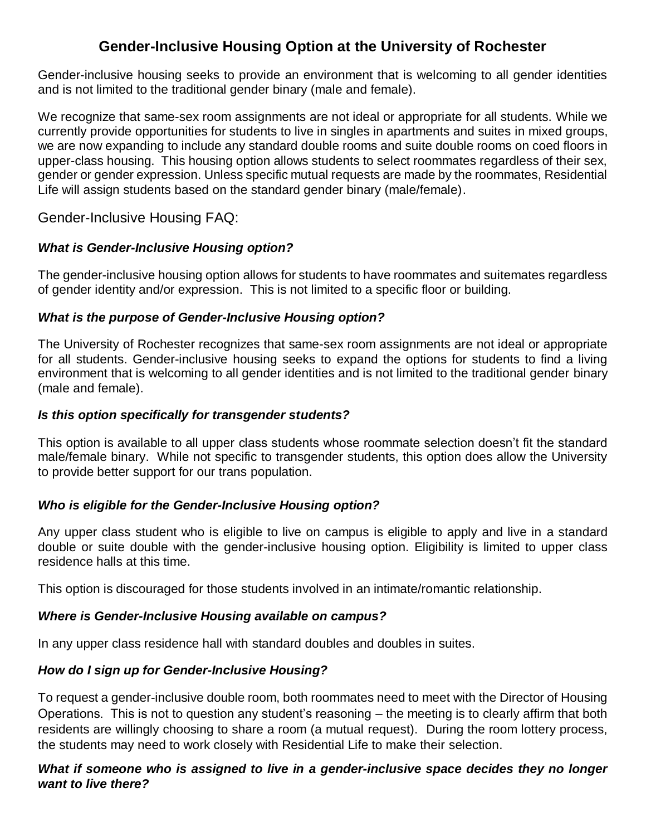# **Gender-Inclusive Housing Option at the University of Rochester**

Gender-inclusive housing seeks to provide an environment that is welcoming to all gender identities and is not limited to the traditional gender binary (male and female).

We recognize that same-sex room assignments are not ideal or appropriate for all students. While we currently provide opportunities for students to live in singles in apartments and suites in mixed groups, we are now expanding to include any standard double rooms and suite double rooms on coed floors in upper-class housing. This housing option allows students to select roommates regardless of their sex, gender or gender expression. Unless specific mutual requests are made by the roommates, Residential Life will assign students based on the standard gender binary (male/female).

Gender-Inclusive Housing FAQ:

## *What is Gender-Inclusive Housing option?*

The gender-inclusive housing option allows for students to have roommates and suitemates regardless of gender identity and/or expression. This is not limited to a specific floor or building.

### *What is the purpose of Gender-Inclusive Housing option?*

The University of Rochester recognizes that same-sex room assignments are not ideal or appropriate for all students. Gender-inclusive housing seeks to expand the options for students to find a living environment that is welcoming to all gender identities and is not limited to the traditional gender binary (male and female).

#### *Is this option specifically for transgender students?*

This option is available to all upper class students whose roommate selection doesn't fit the standard male/female binary. While not specific to transgender students, this option does allow the University to provide better support for our trans population.

### *Who is eligible for the Gender-Inclusive Housing option?*

Any upper class student who is eligible to live on campus is eligible to apply and live in a standard double or suite double with the gender-inclusive housing option. Eligibility is limited to upper class residence halls at this time.

This option is discouraged for those students involved in an intimate/romantic relationship.

### *Where is Gender-Inclusive Housing available on campus?*

In any upper class residence hall with standard doubles and doubles in suites.

### *How do I sign up for Gender-Inclusive Housing?*

To request a gender-inclusive double room, both roommates need to meet with the Director of Housing Operations. This is not to question any student's reasoning – the meeting is to clearly affirm that both residents are willingly choosing to share a room (a mutual request). During the room lottery process, the students may need to work closely with Residential Life to make their selection.

#### *What if someone who is assigned to live in a gender-inclusive space decides they no longer want to live there?*